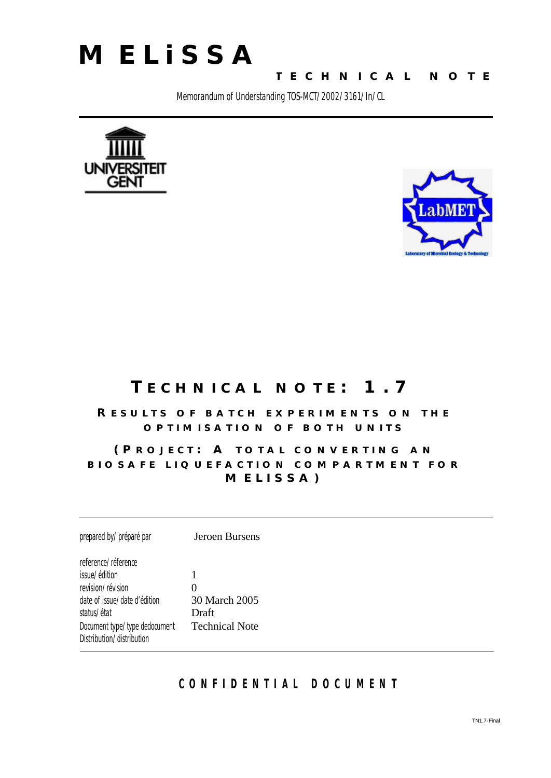

**TECHNICAL NOTE**

Memorandum of Understanding TOS-MCT/2002/3161/In/CL





### **TECHNICAL NOTE: 1.7**

#### **RESULTS OF BATCH EXPERIMENTS ON THE OPTIMISATION OF BOTH UNITS**

#### **(PROJECT : A TOTAL CONVERTING AN BIOSAFE LIQUEFACTION COMPARTMENT FOR MELISSA)**

prepared by/*préparé par* Jeroen Bursens reference/*réference* issue/*édition* 1 revision/révision **0** date of issue/*date d'édition* 30 March 2005 status/*état* Draft Document type/*type dedocument* Technical Note Distribution/*distribution*

#### **CONFIDENTIAL DOCUMEN T**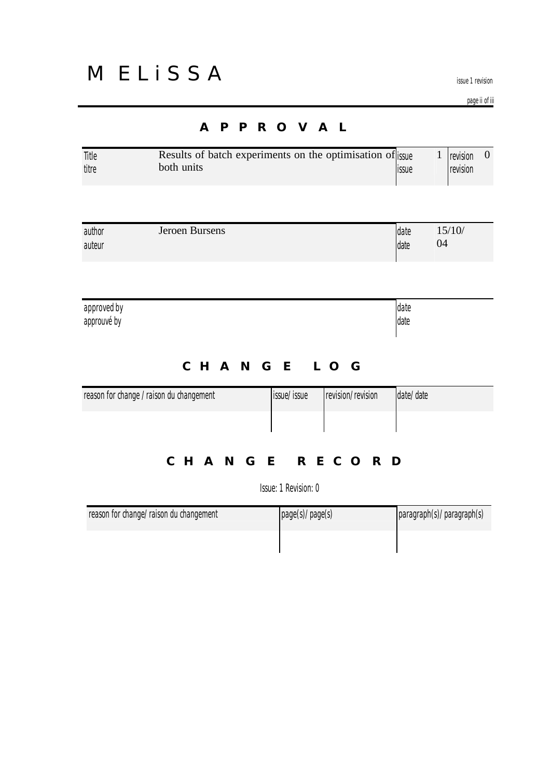issue 1 revision

page ii of iii

| Title<br>titre             | Results of batch experiments on the optimisation of issue<br>both units |                           |                   | issue        | $\mathbf{1}$<br>$\mathbf{0}$<br>revision<br>revision |
|----------------------------|-------------------------------------------------------------------------|---------------------------|-------------------|--------------|------------------------------------------------------|
| author<br>auteur           | Jeroen Bursens                                                          |                           |                   | date<br>date | 15/10/<br>04                                         |
| approved by<br>approuvé by |                                                                         |                           |                   | date<br>date |                                                      |
|                            | reason for change / raison du changement                                | CHANGE LOG<br>issue/issue | revision/revision | date/date    |                                                      |

### **CHANGE RECORD**

Issue: 1 Revision: 0

| reason for change/raison du changement | page(s)/page(s) | paragraph(s)/paragraph(s) |
|----------------------------------------|-----------------|---------------------------|
|                                        |                 |                           |

#### **APPROVAL**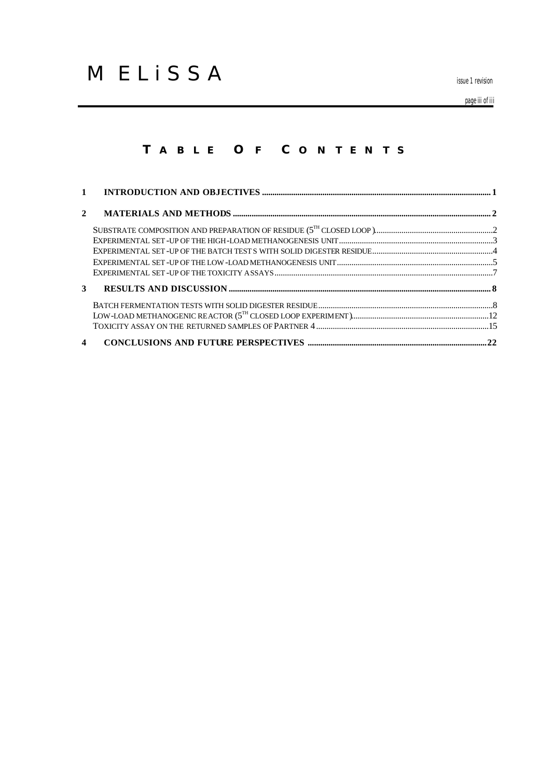issue 1 revision

page iii of iii

#### **T ABLE O F C ONTENTS**

| $\mathbf{2}$     |  |
|------------------|--|
|                  |  |
|                  |  |
|                  |  |
|                  |  |
|                  |  |
| 3 <sup>1</sup>   |  |
|                  |  |
|                  |  |
|                  |  |
| $\boldsymbol{4}$ |  |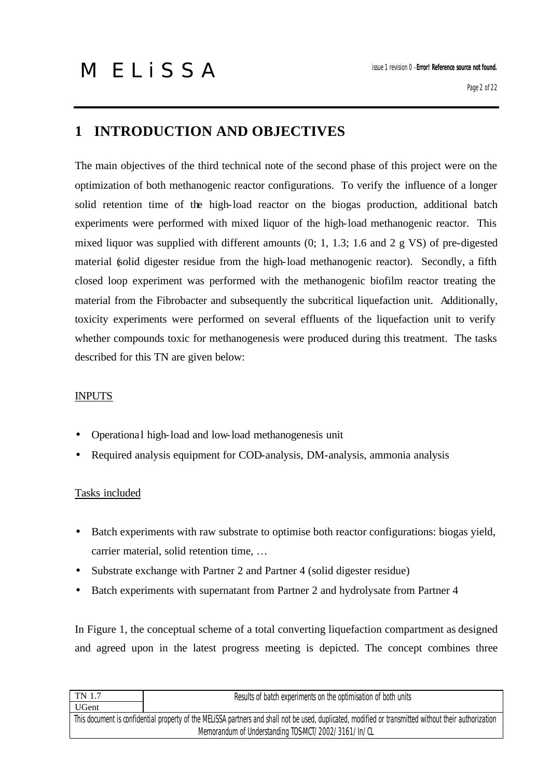### **1 INTRODUCTION AND OBJECTIVES**

The main objectives of the third technical note of the second phase of this project were on the optimization of both methanogenic reactor configurations. To verify the influence of a longer solid retention time of the high-load reactor on the biogas production, additional batch experiments were performed with mixed liquor of the high-load methanogenic reactor. This mixed liquor was supplied with different amounts (0; 1, 1.3; 1.6 and 2 g VS) of pre-digested material (solid digester residue from the high-load methanogenic reactor). Secondly, a fifth closed loop experiment was performed with the methanogenic biofilm reactor treating the material from the Fibrobacter and subsequently the subcritical liquefaction unit. Additionally, toxicity experiments were performed on several effluents of the liquefaction unit to verify whether compounds toxic for methanogenesis were produced during this treatment. The tasks described for this TN are given below:

#### INPUTS

- Operationa l high-load and low-load methanogenesis unit
- Required analysis equipment for COD-analysis, DM-analysis, ammonia analysis

#### Tasks included

- Batch experiments with raw substrate to optimise both reactor configurations: biogas yield, carrier material, solid retention time, …
- Substrate exchange with Partner 2 and Partner 4 (solid digester residue)
- Batch experiments with supernatant from Partner 2 and hydrolysate from Partner 4

In Figure 1, the conceptual scheme of a total converting liquefaction compartment as designed and agreed upon in the latest progress meeting is depicted. The concept combines three

| TN 1.7<br>Results of batch experiments on the optimisation of both units                                                                              |  |  |  |
|-------------------------------------------------------------------------------------------------------------------------------------------------------|--|--|--|
| <b>UGent</b>                                                                                                                                          |  |  |  |
| This document is confidential property of the MELISSA partners and shall not be used, duplicated, modified or transmitted without their authorization |  |  |  |
| Memorandum of Understanding TOS-MCT/2002/3161/In/CL                                                                                                   |  |  |  |
|                                                                                                                                                       |  |  |  |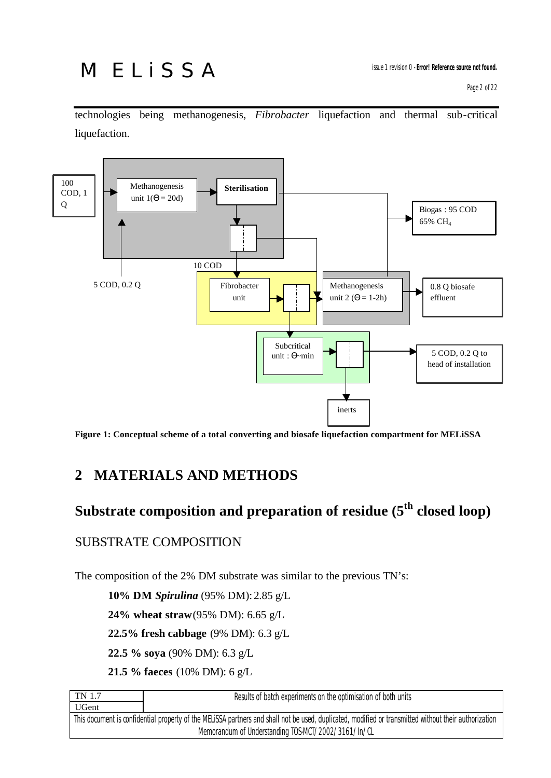## **MELISSA**

technologies being methanogenesis, *Fibrobacter* liquefaction and thermal sub-critical liquefaction.



**Figure 1: Conceptual scheme of a total converting and biosafe liquefaction compartment for MELiSSA**

### **2 MATERIALS AND METHODS**

### **Substrate composition and preparation of residue (5th closed loop)**

#### SUBSTRATE COMPOSITION

The composition of the 2% DM substrate was similar to the previous TN's:

**10% DM** *Spirulina* (95% DM):2.85 g/L

**24% wheat straw** (95% DM): 6.65 g/L

**22.5% fresh cabbage** (9% DM): 6.3 g/L

**22.5 % soya** (90% DM): 6.3 g/L

**21.5 % faeces** (10% DM): 6 g/L

| TN 1.7<br>Results of batch experiments on the optimisation of both units                                                                              |  |  |
|-------------------------------------------------------------------------------------------------------------------------------------------------------|--|--|
| <b>UGent</b>                                                                                                                                          |  |  |
| This document is confidential property of the MELISSA partners and shall not be used, duplicated, modified or transmitted without their authorization |  |  |
| Memorandum of Understanding TOS-MCT/2002/3161/In/CL                                                                                                   |  |  |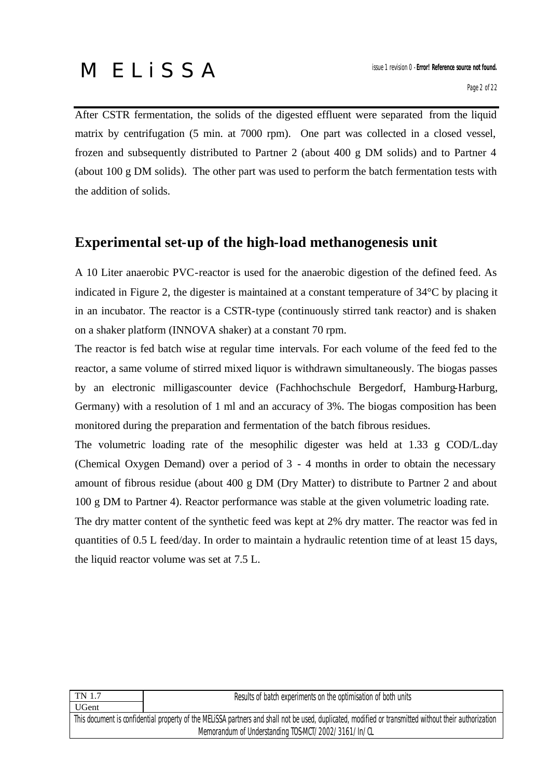After CSTR fermentation, the solids of the digested effluent were separated from the liquid matrix by centrifugation (5 min. at 7000 rpm). One part was collected in a closed vessel, frozen and subsequently distributed to Partner 2 (about 400 g DM solids) and to Partner 4 (about 100 g DM solids). The other part was used to perform the batch fermentation tests with the addition of solids.

#### **Experimental set-up of the high-load methanogenesis unit**

A 10 Liter anaerobic PVC-reactor is used for the anaerobic digestion of the defined feed. As indicated in Figure 2, the digester is maintained at a constant temperature of 34°C by placing it in an incubator. The reactor is a CSTR-type (continuously stirred tank reactor) and is shaken on a shaker platform (INNOVA shaker) at a constant 70 rpm.

The reactor is fed batch wise at regular time intervals. For each volume of the feed fed to the reactor, a same volume of stirred mixed liquor is withdrawn simultaneously. The biogas passes by an electronic milligascounter device (Fachhochschule Bergedorf, Hamburg-Harburg, Germany) with a resolution of 1 ml and an accuracy of 3%. The biogas composition has been monitored during the preparation and fermentation of the batch fibrous residues.

The volumetric loading rate of the mesophilic digester was held at 1.33 g COD/L.day (Chemical Oxygen Demand) over a period of 3 - 4 months in order to obtain the necessary amount of fibrous residue (about 400 g DM (Dry Matter) to distribute to Partner 2 and about 100 g DM to Partner 4). Reactor performance was stable at the given volumetric loading rate.

The dry matter content of the synthetic feed was kept at 2% dry matter. The reactor was fed in quantities of 0.5 L feed/day. In order to maintain a hydraulic retention time of at least 15 days, the liquid reactor volume was set at 7.5 L.

| TN 1.7<br>Results of batch experiments on the optimisation of both units                                                                              |  |  |
|-------------------------------------------------------------------------------------------------------------------------------------------------------|--|--|
| UGent                                                                                                                                                 |  |  |
| This document is confidential property of the MELISSA partners and shall not be used, duplicated, modified or transmitted without their authorization |  |  |
| Memorandum of Understanding TOS-MCT/2002/3161/In/CL                                                                                                   |  |  |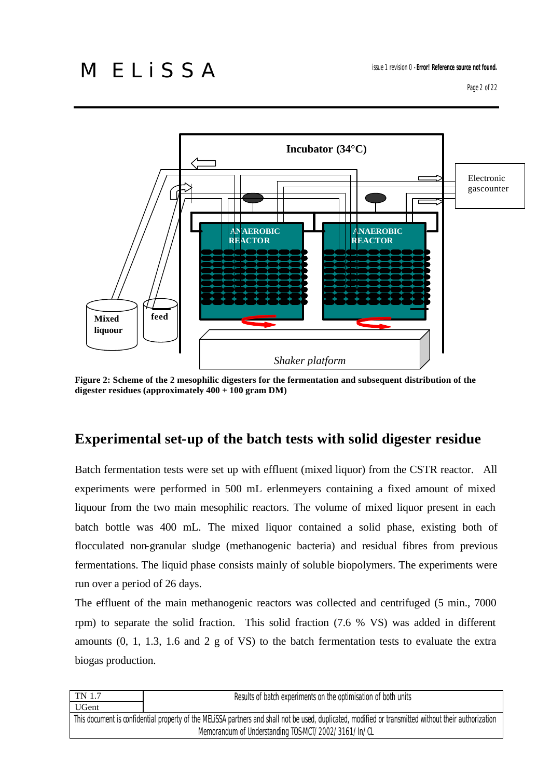

**Figure 2: Scheme of the 2 mesophilic digesters for the fermentation and subsequent distribution of the digester residues (approximately 400 + 100 gram DM)**

#### **Experimental set-up of the batch tests with solid digester residue**

Batch fermentation tests were set up with effluent (mixed liquor) from the CSTR reactor. All experiments were performed in 500 mL erlenmeyers containing a fixed amount of mixed liquour from the two main mesophilic reactors. The volume of mixed liquor present in each batch bottle was 400 mL. The mixed liquor contained a solid phase, existing both of flocculated non-granular sludge (methanogenic bacteria) and residual fibres from previous fermentations. The liquid phase consists mainly of soluble biopolymers. The experiments were run over a period of 26 days.

The effluent of the main methanogenic reactors was collected and centrifuged (5 min., 7000 rpm) to separate the solid fraction. This solid fraction (7.6 % VS) was added in different amounts (0, 1, 1.3, 1.6 and 2 g of VS) to the batch fermentation tests to evaluate the extra biogas production.

| TN 1.7<br>Results of batch experiments on the optimisation of both units                                                                              |  |  |  |
|-------------------------------------------------------------------------------------------------------------------------------------------------------|--|--|--|
| <b>UGent</b>                                                                                                                                          |  |  |  |
| This document is confidential property of the MELISSA partners and shall not be used, duplicated, modified or transmitted without their authorization |  |  |  |
| Memorandum of Understanding TOS-MCT/2002/3161/In/CL                                                                                                   |  |  |  |
|                                                                                                                                                       |  |  |  |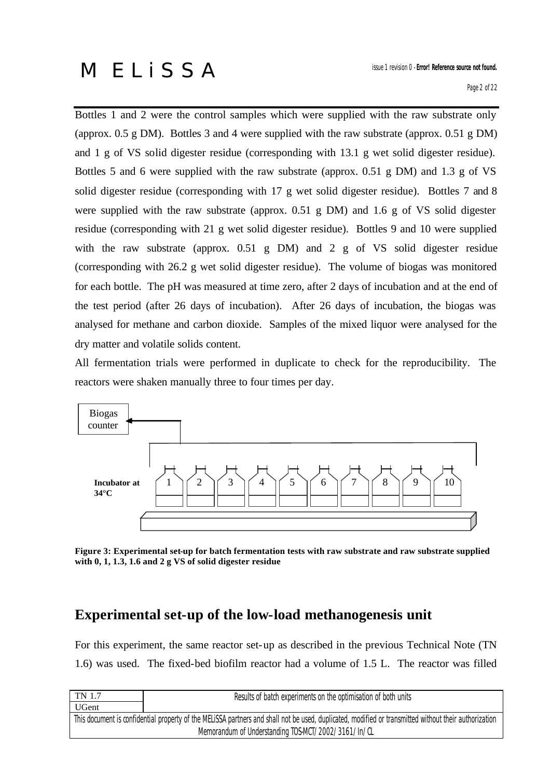Bottles 1 and 2 were the control samples which were supplied with the raw substrate only (approx. 0.5 g DM). Bottles 3 and 4 were supplied with the raw substrate (approx. 0.51 g DM) and 1 g of VS solid digester residue (corresponding with 13.1 g wet solid digester residue). Bottles 5 and 6 were supplied with the raw substrate (approx. 0.51 g DM) and 1.3 g of VS solid digester residue (corresponding with 17 g wet solid digester residue). Bottles 7 and 8 were supplied with the raw substrate (approx. 0.51 g DM) and 1.6 g of VS solid digester residue (corresponding with 21 g wet solid digester residue). Bottles 9 and 10 were supplied with the raw substrate (approx. 0.51 g DM) and 2 g of VS solid digester residue (corresponding with 26.2 g wet solid digester residue). The volume of biogas was monitored for each bottle. The pH was measured at time zero, after 2 days of incubation and at the end of the test period (after 26 days of incubation). After 26 days of incubation, the biogas was analysed for methane and carbon dioxide. Samples of the mixed liquor were analysed for the dry matter and volatile solids content.

All fermentation trials were performed in duplicate to check for the reproducibility. The reactors were shaken manually three to four times per day.



**Figure 3: Experimental set-up for batch fermentation tests with raw substrate and raw substrate supplied with 0, 1, 1.3, 1.6 and 2 g VS of solid digester residue**

### **Experimental set-up of the low-load methanogenesis unit**

For this experiment, the same reactor set-up as described in the previous Technical Note (TN 1.6) was used. The fixed-bed biofilm reactor had a volume of 1.5 L. The reactor was filled

| TN 1.7                                                                                                                                                | Results of batch experiments on the optimisation of both units |  |  |
|-------------------------------------------------------------------------------------------------------------------------------------------------------|----------------------------------------------------------------|--|--|
| <b>UGent</b>                                                                                                                                          |                                                                |  |  |
| This document is confidential property of the MELISSA partners and shall not be used, duplicated, modified or transmitted without their authorization |                                                                |  |  |
| Memorandum of Understanding TOS-MCT/2002/3161/In/CL                                                                                                   |                                                                |  |  |
|                                                                                                                                                       |                                                                |  |  |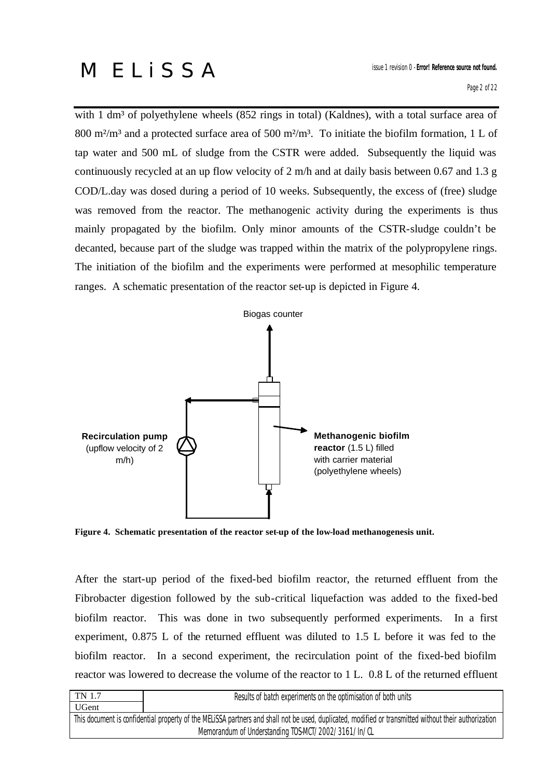with 1 dm<sup>3</sup> of polyethylene wheels (852 rings in total) (Kaldnes), with a total surface area of 800 m<sup>2</sup>/m<sup>3</sup> and a protected surface area of 500 m<sup>2</sup>/m<sup>3</sup>. To initiate the biofilm formation, 1 L of tap water and 500 mL of sludge from the CSTR were added. Subsequently the liquid was continuously recycled at an up flow velocity of 2 m/h and at daily basis between 0.67 and 1.3 g COD/L.day was dosed during a period of 10 weeks. Subsequently, the excess of (free) sludge was removed from the reactor. The methanogenic activity during the experiments is thus mainly propagated by the biofilm. Only minor amounts of the CSTR-sludge couldn't be decanted, because part of the sludge was trapped within the matrix of the polypropylene rings. The initiation of the biofilm and the experiments were performed at mesophilic temperature ranges. A schematic presentation of the reactor set-up is depicted in Figure 4.



**Figure 4. Schematic presentation of the reactor set-up of the low-load methanogenesis unit.** 

After the start-up period of the fixed-bed biofilm reactor, the returned effluent from the Fibrobacter digestion followed by the sub-critical liquefaction was added to the fixed-bed biofilm reactor. This was done in two subsequently performed experiments. In a first experiment, 0.875 L of the returned effluent was diluted to 1.5 L before it was fed to the biofilm reactor. In a second experiment, the recirculation point of the fixed-bed biofilm reactor was lowered to decrease the volume of the reactor to 1 L. 0.8 L of the returned effluent

| TN 1.7                                                                                                                                                | Results of batch experiments on the optimisation of both units |  |  |
|-------------------------------------------------------------------------------------------------------------------------------------------------------|----------------------------------------------------------------|--|--|
| <b>UGent</b>                                                                                                                                          |                                                                |  |  |
| This document is confidential property of the MELISSA partners and shall not be used, duplicated, modified or transmitted without their authorization |                                                                |  |  |
| Memorandum of Understanding TOS-MCT/2002/3161/In/CL                                                                                                   |                                                                |  |  |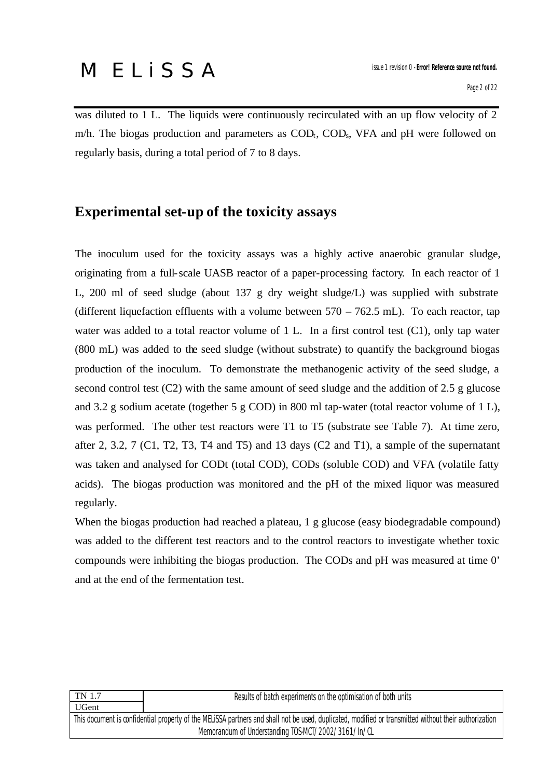was diluted to 1 L. The liquids were continuously recirculated with an up flow velocity of 2 m/h. The biogas production and parameters as  $\text{COD}_t$ ,  $\text{COD}_s$ , VFA and pH were followed on regularly basis, during a total period of 7 to 8 days.

#### **Experimental set-up of the toxicity assays**

The inoculum used for the toxicity assays was a highly active anaerobic granular sludge, originating from a full-scale UASB reactor of a paper-processing factory. In each reactor of 1 L, 200 ml of seed sludge (about 137 g dry weight sludge/L) was supplied with substrate (different liquefaction effluents with a volume between  $570 - 762.5$  mL). To each reactor, tap water was added to a total reactor volume of 1 L. In a first control test (C1), only tap water (800 mL) was added to the seed sludge (without substrate) to quantify the background biogas production of the inoculum. To demonstrate the methanogenic activity of the seed sludge, a second control test (C2) with the same amount of seed sludge and the addition of 2.5 g glucose and 3.2 g sodium acetate (together 5 g COD) in 800 ml tap-water (total reactor volume of 1 L), was performed. The other test reactors were T1 to T5 (substrate see Table 7). At time zero, after 2, 3.2, 7 (C1, T2, T3, T4 and T5) and 13 days (C2 and T1), a sample of the supernatant was taken and analysed for CODt (total COD), CODs (soluble COD) and VFA (volatile fatty acids). The biogas production was monitored and the pH of the mixed liquor was measured regularly.

When the biogas production had reached a plateau, 1 g glucose (easy biodegradable compound) was added to the different test reactors and to the control reactors to investigate whether toxic compounds were inhibiting the biogas production. The CODs and pH was measured at time 0' and at the end of the fermentation test.

| TN 1.7                                                                                                                                                | Results of batch experiments on the optimisation of both units |  |  |
|-------------------------------------------------------------------------------------------------------------------------------------------------------|----------------------------------------------------------------|--|--|
| UGent                                                                                                                                                 |                                                                |  |  |
| This document is confidential property of the MELiSSA partners and shall not be used, duplicated, modified or transmitted without their authorization |                                                                |  |  |
| Memorandum of Understanding TOS-MCT/2002/3161/In/CL                                                                                                   |                                                                |  |  |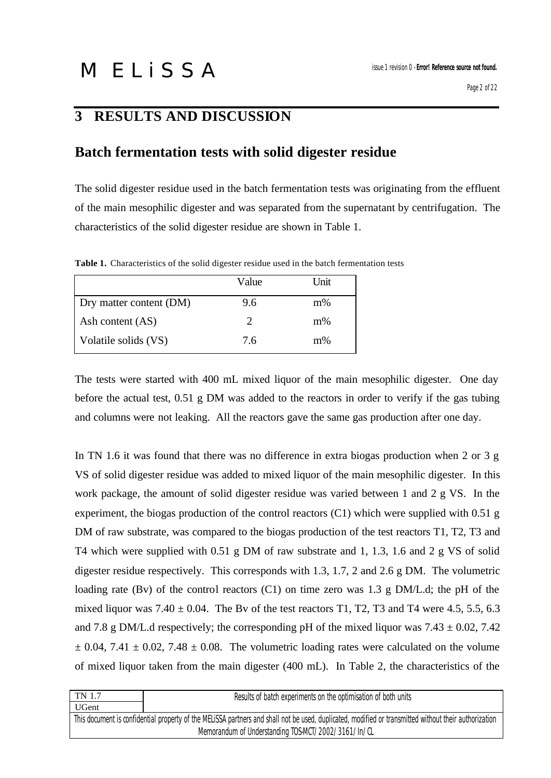### **3 RESULTS AND DISCUSSION**

#### **Batch fermentation tests with solid digester residue**

The solid digester residue used in the batch fermentation tests was originating from the effluent of the main mesophilic digester and was separated from the supernatant by centrifugation. The characteristics of the solid digester residue are shown in Table 1.

Value Unit Dry matter content (DM) 9.6 m% Ash content  $(AS)$  2 m% Volatile solids (VS) 7.6 m<sup>%</sup>

Table 1. Characteristics of the solid digester residue used in the batch fermentation tests

The tests were started with 400 mL mixed liquor of the main mesophilic digester. One day before the actual test, 0.51 g DM was added to the reactors in order to verify if the gas tubing and columns were not leaking. All the reactors gave the same gas production after one day.

In TN 1.6 it was found that there was no difference in extra biogas production when 2 or 3 g VS of solid digester residue was added to mixed liquor of the main mesophilic digester. In this work package, the amount of solid digester residue was varied between 1 and 2 g VS. In the experiment, the biogas production of the control reactors (C1) which were supplied with 0.51 g DM of raw substrate, was compared to the biogas production of the test reactors T1, T2, T3 and T4 which were supplied with 0.51 g DM of raw substrate and 1, 1.3, 1.6 and 2 g VS of solid digester residue respectively. This corresponds with 1.3, 1.7, 2 and 2.6 g DM. The volumetric loading rate (Bv) of the control reactors (C1) on time zero was 1.3 g DM/L.d; the pH of the mixed liquor was  $7.40 \pm 0.04$ . The Bv of the test reactors T1, T2, T3 and T4 were 4.5, 5.5, 6.3 and 7.8 g DM/L.d respectively; the corresponding pH of the mixed liquor was  $7.43 \pm 0.02$ ,  $7.42$  $\pm$  0.04, 7.41  $\pm$  0.02, 7.48  $\pm$  0.08. The volumetric loading rates were calculated on the volume of mixed liquor taken from the main digester (400 mL). In Table 2, the characteristics of the

| TN 1.7<br>Results of batch experiments on the optimisation of both units                                                                              |  |  |
|-------------------------------------------------------------------------------------------------------------------------------------------------------|--|--|
| <b>UGent</b>                                                                                                                                          |  |  |
| This document is confidential property of the MELISSA partners and shall not be used, duplicated, modified or transmitted without their authorization |  |  |
| Memorandum of Understanding TOS-MCT/2002/3161/In/CL                                                                                                   |  |  |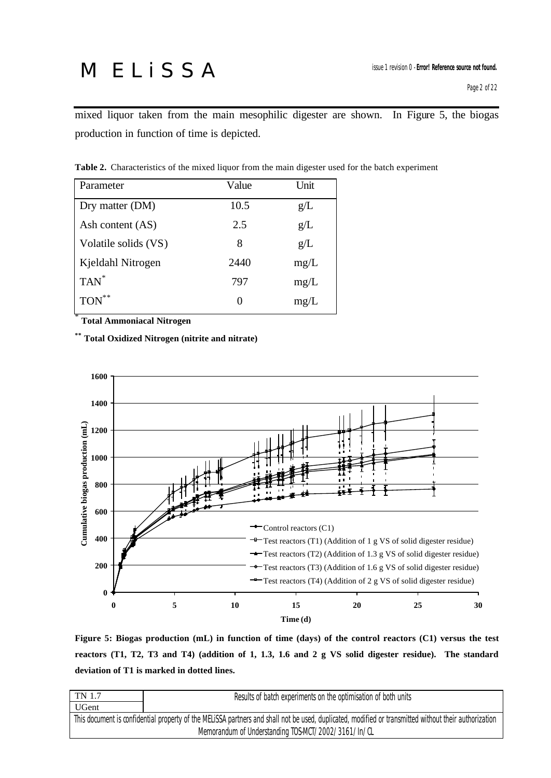mixed liquor taken from the main mesophilic digester are shown. In Figure 5, the biogas production in function of time is depicted.

| Parameter            | Value | Unit |
|----------------------|-------|------|
| Dry matter (DM)      | 10.5  | g/L  |
| Ash content (AS)     | 2.5   | g/L  |
| Volatile solids (VS) | 8     | g/L  |
| Kjeldahl Nitrogen    | 2440  | mg/L |
| TAN <sup>*</sup>     | 797   | mg/L |
| $TON$ **             |       | mg/L |

**Table 2.** Characteristics of the mixed liquor from the main digester used for the batch experiment

\*  **Total Ammoniacal Nitrogen** 

**\*\* Total Oxidized Nitrogen (nitrite and nitrate)** 



**Figure 5: Biogas production (mL) in function of time (days) of the control reactors (C1) versus the test reactors (T1, T2, T3 and T4) (addition of 1, 1.3, 1.6 and 2 g VS solid digester residue). The standard deviation of T1 is marked in dotted lines.** 

| Results of batch experiments on the optimisation of both units<br><b>UGent</b>                                                                        |  |  |  |
|-------------------------------------------------------------------------------------------------------------------------------------------------------|--|--|--|
|                                                                                                                                                       |  |  |  |
| This document is confidential property of the MELISSA partners and shall not be used, duplicated, modified or transmitted without their authorization |  |  |  |
| Memorandum of Understanding TOS-MCT/2002/3161/In/CL                                                                                                   |  |  |  |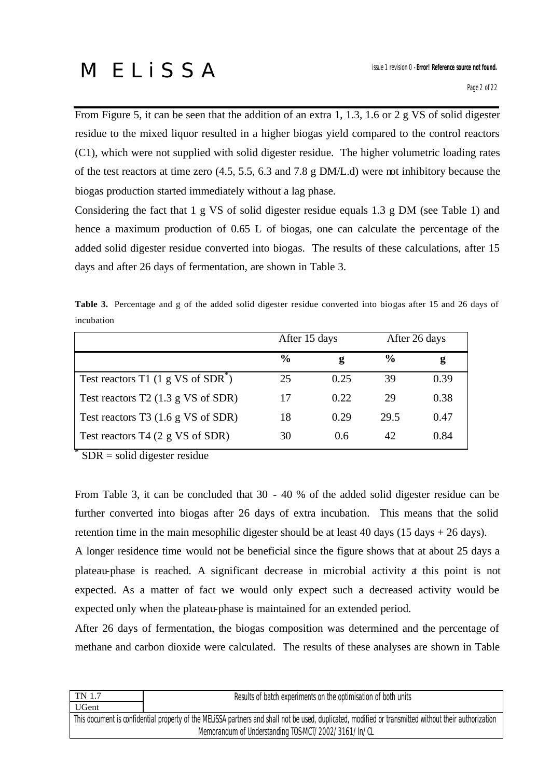From Figure 5, it can be seen that the addition of an extra 1, 1.3, 1.6 or 2 g VS of solid digester residue to the mixed liquor resulted in a higher biogas yield compared to the control reactors (C1), which were not supplied with solid digester residue. The higher volumetric loading rates of the test reactors at time zero (4.5, 5.5, 6.3 and 7.8 g DM/L.d) were not inhibitory because the biogas production started immediately without a lag phase.

Considering the fact that 1 g VS of solid digester residue equals 1.3 g DM (see Table 1) and hence a maximum production of 0.65 L of biogas, one can calculate the percentage of the added solid digester residue converted into biogas. The results of these calculations, after 15 days and after 26 days of fermentation, are shown in Table 3.

**Table 3.** Percentage and g of the added solid digester residue converted into biogas after 15 and 26 days of incubation

|                                      | After 15 days |      |               | After 26 days |
|--------------------------------------|---------------|------|---------------|---------------|
|                                      | $\frac{0}{0}$ | g    | $\frac{6}{9}$ | g             |
| Test reactors T1 $(1 g V S of SDR*)$ | 25            | 0.25 | 39            | 0.39          |
| Test reactors $T2$ (1.3 g VS of SDR) | 17            | 0.22 | 29            | 0.38          |
| Test reactors $T3$ (1.6 g VS of SDR) | 18            | 0.29 | 29.5          | 0.47          |
| Test reactors $T4$ (2 g VS of SDR)   | 30            | 0.6  | 42            | 0.84          |

SDR = solid digester residue

\*

From Table 3, it can be concluded that 30 - 40 % of the added solid digester residue can be further converted into biogas after 26 days of extra incubation. This means that the solid retention time in the main mesophilic digester should be at least 40 days (15 days + 26 days). A longer residence time would not be beneficial since the figure shows that at about 25 days a plateau-phase is reached. A significant decrease in microbial activity at this point is not expected. As a matter of fact we would only expect such a decreased activity would be expected only when the plateau-phase is maintained for an extended period.

After 26 days of fermentation, the biogas composition was determined and the percentage of methane and carbon dioxide were calculated. The results of these analyses are shown in Table

| UGent                                                                                                                                                 |  |  |
|-------------------------------------------------------------------------------------------------------------------------------------------------------|--|--|
|                                                                                                                                                       |  |  |
| This document is confidential property of the MELISSA partners and shall not be used, duplicated, modified or transmitted without their authorization |  |  |
| Memorandum of Understanding TOS-MCT/2002/3161/In/CL                                                                                                   |  |  |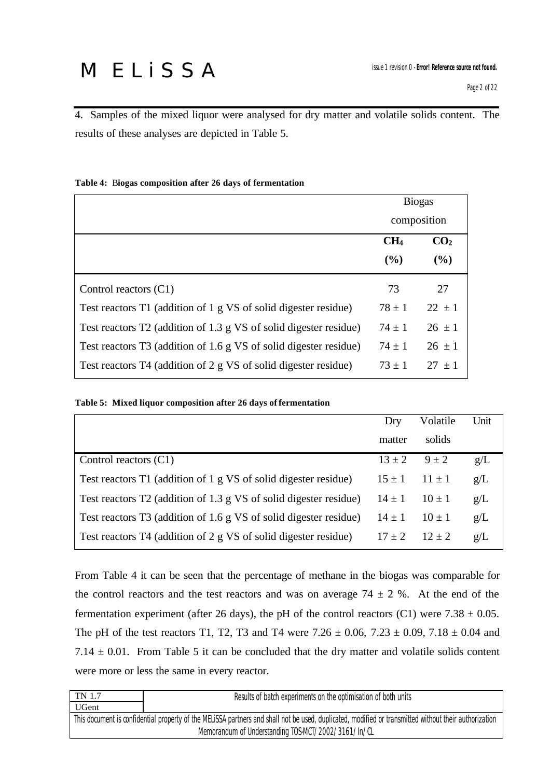4. Samples of the mixed liquor were analysed for dry matter and volatile solids content. The results of these analyses are depicted in Table 5.

|                                                                   |                 | <b>Biogas</b>   |
|-------------------------------------------------------------------|-----------------|-----------------|
|                                                                   | composition     |                 |
|                                                                   | CH <sub>4</sub> | CO <sub>2</sub> |
|                                                                   | (%)             | (%)             |
| Control reactors $(C1)$                                           | 73              | 27              |
| Test reactors T1 (addition of 1 g VS of solid digester residue)   | $78 \pm 1$      | $22 \pm 1$      |
| Test reactors T2 (addition of 1.3 g VS of solid digester residue) | $74 \pm 1$      | $26 \pm 1$      |
| Test reactors T3 (addition of 1.6 g VS of solid digester residue) | $74 \pm 1$      | $26 \pm 1$      |
| Test reactors T4 (addition of 2 g VS of solid digester residue)   | $73 \pm 1$      | $27 + 1$        |

#### **Table 4:** B**iogas composition after 26 days of fermentation**

#### **Table 5: Mixed liquor composition after 26 days of fermentation**

|                                                                   | Dry                  | Volatile   | Unit |
|-------------------------------------------------------------------|----------------------|------------|------|
|                                                                   | matter               | solids     |      |
| Control reactors $(C1)$                                           | $13 \pm 2$ $9 \pm 2$ |            | g/L  |
| Test reactors T1 (addition of 1 g VS of solid digester residue)   | $15 \pm 1$           | $11 \pm 1$ | g/L  |
| Test reactors T2 (addition of 1.3 g VS of solid digester residue) | $14 \pm 1$           | $10 \pm 1$ | g/L  |
| Test reactors T3 (addition of 1.6 g VS of solid digester residue) | $14 \pm 1$           | $10 \pm 1$ | g/L  |
| Test reactors T4 (addition of 2 g VS of solid digester residue)   | $17 \pm 2$           | $12 + 2$   | g/L  |

From Table 4 it can be seen that the percentage of methane in the biogas was comparable for the control reactors and the test reactors and was on average  $74 \pm 2$  %. At the end of the fermentation experiment (after 26 days), the pH of the control reactors (C1) were  $7.38 \pm 0.05$ . The pH of the test reactors T1, T2, T3 and T4 were  $7.26 \pm 0.06$ ,  $7.23 \pm 0.09$ ,  $7.18 \pm 0.04$  and 7.14  $\pm$  0.01. From Table 5 it can be concluded that the dry matter and volatile solids content were more or less the same in every reactor.

| UGent<br>This document is confidential property of the MELISSA partners and shall not be used, duplicated, modified or transmitted without their authorization<br>Memorandum of Understanding TOS-MCT/2002/3161/In/CL | TN 1.7<br>Results of batch experiments on the optimisation of both units |  |  |
|-----------------------------------------------------------------------------------------------------------------------------------------------------------------------------------------------------------------------|--------------------------------------------------------------------------|--|--|
|                                                                                                                                                                                                                       |                                                                          |  |  |
|                                                                                                                                                                                                                       |                                                                          |  |  |
|                                                                                                                                                                                                                       |                                                                          |  |  |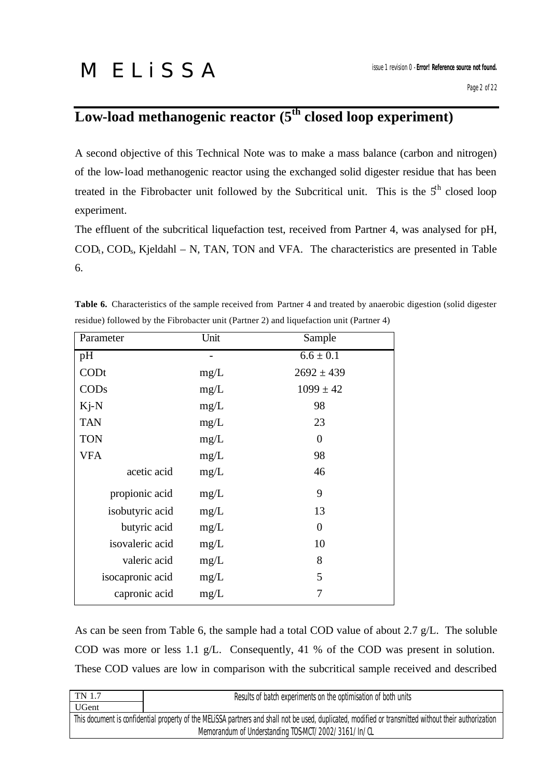### **Low-load methanogenic reactor (5th closed loop experiment)**

A second objective of this Technical Note was to make a mass balance (carbon and nitrogen) of the low-load methanogenic reactor using the exchanged solid digester residue that has been treated in the Fibrobacter unit followed by the Subcritical unit. This is the  $5<sup>th</sup>$  closed loop experiment.

The effluent of the subcritical liquefaction test, received from Partner 4, was analysed for pH,  $\text{COD}_t$ ,  $\text{COD}_s$ , Kjeldahl – N, TAN, TON and VFA. The characteristics are presented in Table 6.

| Parameter        | Unit | Sample         |
|------------------|------|----------------|
| pH               |      | $6.6 \pm 0.1$  |
| CODt             | mg/L | $2692 \pm 439$ |
| COD <sub>s</sub> | mg/L | $1099 \pm 42$  |
| $Ki-N$           | mg/L | 98             |
| <b>TAN</b>       | mg/L | 23             |
| <b>TON</b>       | mg/L | $\theta$       |
| <b>VFA</b>       | mg/L | 98             |
| acetic acid      | mg/L | 46             |
| propionic acid   | mg/L | 9              |
| isobutyric acid  | mg/L | 13             |
| butyric acid     | mg/L | $\theta$       |
| isovaleric acid  | mg/L | 10             |
| valeric acid     | mg/L | 8              |
| isocapronic acid | mg/L | 5              |
| capronic acid    | mg/L | 7              |

**Table 6.** Characteristics of the sample received from Partner 4 and treated by anaerobic digestion (solid digester residue) followed by the Fibrobacter unit (Partner 2) and liquefaction unit (Partner 4)

As can be seen from Table 6, the sample had a total COD value of about 2.7 g/L. The soluble COD was more or less 1.1 g/L. Consequently, 41 % of the COD was present in solution. These COD values are low in comparison with the subcritical sample received and described

| <b>UGent</b><br>This document is confidential property of the MELISSA partners and shall not be used, duplicated, modified or transmitted without their authorization | TN 1.7 | Results of batch experiments on the optimisation of both units |
|-----------------------------------------------------------------------------------------------------------------------------------------------------------------------|--------|----------------------------------------------------------------|
|                                                                                                                                                                       |        |                                                                |
|                                                                                                                                                                       |        |                                                                |
| Memorandum of Understanding TOS-MCT/2002/3161/In/CL                                                                                                                   |        |                                                                |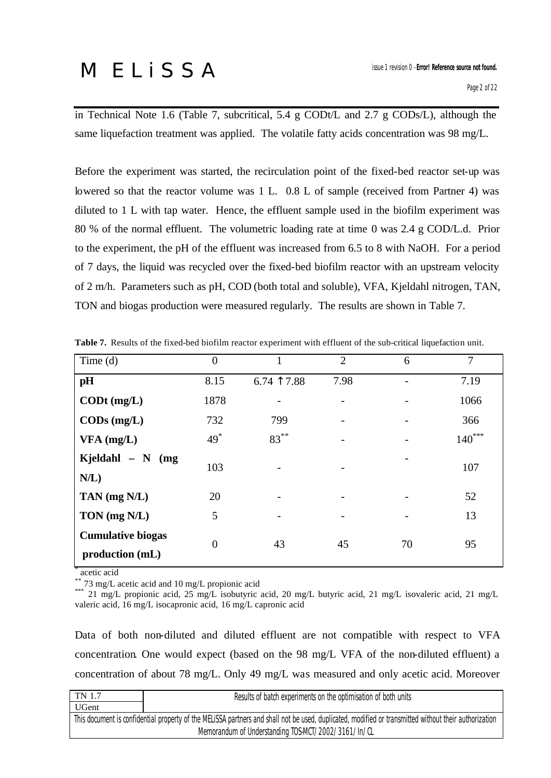in Technical Note 1.6 (Table 7, subcritical, 5.4 g CODt/L and 2.7 g CODs/L), although the same liquefaction treatment was applied. The volatile fatty acids concentration was 98 mg/L.

Before the experiment was started, the recirculation point of the fixed-bed reactor set-up was lowered so that the reactor volume was 1 L. 0.8 L of sample (received from Partner 4) was diluted to 1 L with tap water. Hence, the effluent sample used in the biofilm experiment was 80 % of the normal effluent. The volumetric loading rate at time 0 was 2.4 g COD/L.d. Prior to the experiment, the pH of the effluent was increased from 6.5 to 8 with NaOH. For a period of 7 days, the liquid was recycled over the fixed-bed biofilm reactor with an upstream velocity of 2 m/h. Parameters such as pH, COD (both total and soluble), VFA, Kjeldahl nitrogen, TAN, TON and biogas production were measured regularly. The results are shown in Table 7.

| Time $(d)$                                  | $\overline{0}$ |              | $\overline{2}$ | 6  | 7        |
|---------------------------------------------|----------------|--------------|----------------|----|----------|
| pH                                          | 8.15           | $6.74$ 17.88 | 7.98           |    | 7.19     |
| $\text{CDD}t$ (mg/L)                        | 1878           |              |                |    | 1066     |
| $\mathbf{CODs}$ (mg/L)                      | 732            | 799          |                |    | 366      |
| $VFA$ (mg/L)                                | $49^*$         | $83***$      |                |    | $140***$ |
| Kjeldahl $- N$ (mg                          | 103            |              |                |    | 107      |
| $N/L$ )                                     |                |              |                |    |          |
| TAN (mg N/L)                                | 20             |              |                |    | 52       |
| TON (mg N/L)                                | 5              |              |                |    | 13       |
| <b>Cumulative biogas</b><br>production (mL) | $\overline{0}$ | 43           | 45             | 70 | 95       |

**Table 7.** Results of the fixed-bed biofilm reactor experiment with effluent of the sub-critical liquefaction unit.

\* acetic acid

 $*$  73 mg/L acetic acid and 10 mg/L propionic acid

\*\*\* 21 mg/L propionic acid, 25 mg/L isobutyric acid, 20 mg/L butyric acid, 21 mg/L isovaleric acid, 21 mg/L valeric acid, 16 mg/L isocapronic acid, 16 mg/L capronic acid

Data of both non-diluted and diluted effluent are not compatible with respect to VFA concentration. One would expect (based on the 98 mg/L VFA of the non-diluted effluent) a concentration of about 78 mg/L. Only 49 mg/L was measured and only acetic acid. Moreover

| TN 1.7                                                                                                                                                | Results of batch experiments on the optimisation of both units |  |  |
|-------------------------------------------------------------------------------------------------------------------------------------------------------|----------------------------------------------------------------|--|--|
| <b>UGent</b>                                                                                                                                          |                                                                |  |  |
| This document is confidential property of the MELISSA partners and shall not be used, duplicated, modified or transmitted without their authorization |                                                                |  |  |
| Memorandum of Understanding TOS-MCT/2002/3161/In/CL                                                                                                   |                                                                |  |  |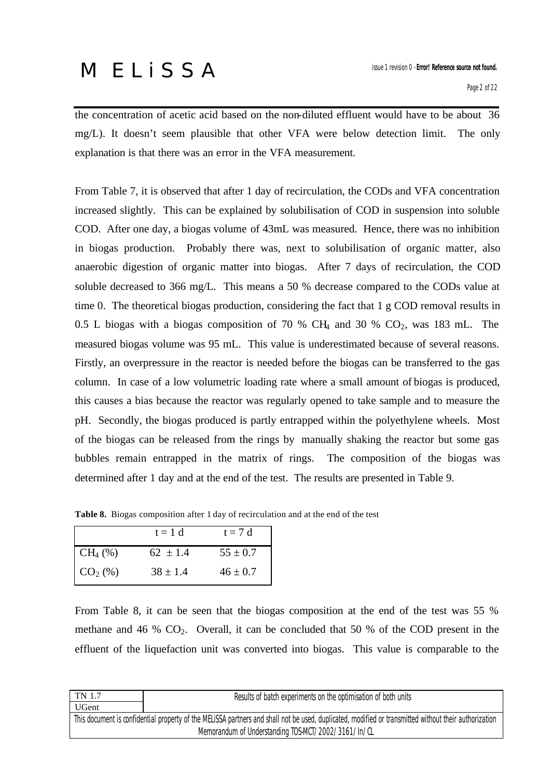the concentration of acetic acid based on the non-diluted effluent would have to be about 36 mg/L). It doesn't seem plausible that other VFA were below detection limit. The only explanation is that there was an error in the VFA measurement.

From Table 7, it is observed that after 1 day of recirculation, the CODs and VFA concentration increased slightly. This can be explained by solubilisation of COD in suspension into soluble COD. After one day, a biogas volume of 43mL was measured. Hence, there was no inhibition in biogas production. Probably there was, next to solubilisation of organic matter, also anaerobic digestion of organic matter into biogas. After 7 days of recirculation, the COD soluble decreased to 366 mg/L. This means a 50 % decrease compared to the CODs value at time 0. The theoretical biogas production, considering the fact that 1 g COD removal results in 0.5 L biogas with a biogas composition of 70 % CH<sub>4</sub> and 30 % CO<sub>2</sub>, was 183 mL. The measured biogas volume was 95 mL. This value is underestimated because of several reasons. Firstly, an overpressure in the reactor is needed before the biogas can be transferred to the gas column. In case of a low volumetric loading rate where a small amount of biogas is produced, this causes a bias because the reactor was regularly opened to take sample and to measure the pH. Secondly, the biogas produced is partly entrapped within the polyethylene wheels. Most of the biogas can be released from the rings by manually shaking the reactor but some gas bubbles remain entrapped in the matrix of rings. The composition of the biogas was determined after 1 day and at the end of the test. The results are presented in Table 9.

|                       | $t = 1$ d    | $t = 7 d$    |
|-----------------------|--------------|--------------|
| $CH_4(\%)$            | $62 \pm 1.4$ | $55 \pm 0.7$ |
| $\overline{CO_2}$ (%) | $38 \pm 1.4$ | $46 \pm 0.7$ |

**Table 8.** Biogas composition after 1 day of recirculation and at the end of the test

From Table 8, it can be seen that the biogas composition at the end of the test was 55 % methane and 46 %  $CO<sub>2</sub>$ . Overall, it can be concluded that 50 % of the COD present in the effluent of the liquefaction unit was converted into biogas. This value is comparable to the

| TN 1.7<br>Results of batch experiments on the optimisation of both units                                                                              |  |  |  |
|-------------------------------------------------------------------------------------------------------------------------------------------------------|--|--|--|
| <b>UGent</b>                                                                                                                                          |  |  |  |
| This document is confidential property of the MELISSA partners and shall not be used, duplicated, modified or transmitted without their authorization |  |  |  |
| Memorandum of Understanding TOS-MCT/2002/3161/In/CL                                                                                                   |  |  |  |
|                                                                                                                                                       |  |  |  |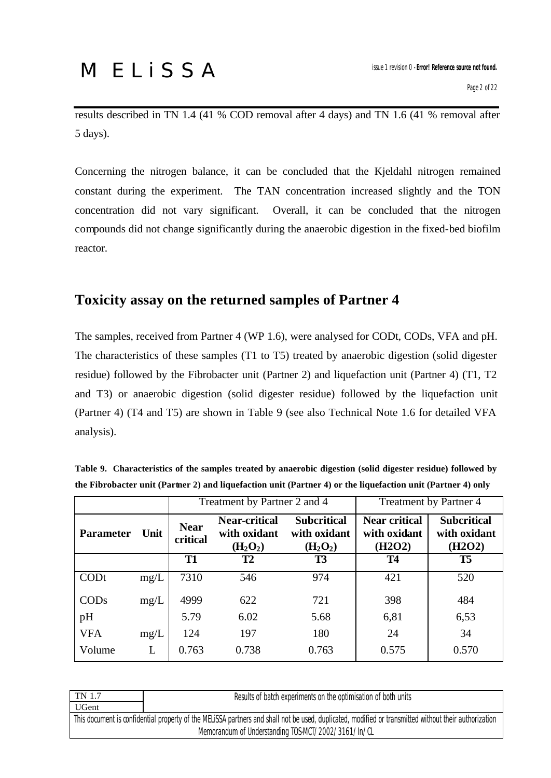results described in TN 1.4 (41 % COD removal after 4 days) and TN 1.6 (41 % removal after 5 days).

Concerning the nitrogen balance, it can be concluded that the Kjeldahl nitrogen remained constant during the experiment. The TAN concentration increased slightly and the TON concentration did not vary significant. Overall, it can be concluded that the nitrogen compounds did not change significantly during the anaerobic digestion in the fixed-bed biofilm reactor.

### **Toxicity assay on the returned samples of Partner 4**

The samples, received from Partner 4 (WP 1.6), were analysed for CODt, CODs, VFA and pH. The characteristics of these samples (T1 to T5) treated by anaerobic digestion (solid digester residue) followed by the Fibrobacter unit (Partner 2) and liquefaction unit (Partner 4) (T1, T2 and T3) or anaerobic digestion (solid digester residue) followed by the liquefaction unit (Partner 4) (T4 and T5) are shown in Table 9 (see also Technical Note 1.6 for detailed VFA analysis).

| Table 9. Characteristics of the samples treated by anaerobic digestion (solid digester residue) followed by  |  |  |
|--------------------------------------------------------------------------------------------------------------|--|--|
| the Fibrobacter unit (Partner 2) and liquefaction unit (Partner 4) or the liquefaction unit (Partner 4) only |  |  |

|                  |      |                         | Treatment by Partner 2 and 4                                             |                                                                        | Treatment by Partner 4<br><b>Subcritical</b><br><b>Near critical</b><br>with oxidant<br>with oxidant<br>(H2O2)<br>(H2O2)<br><b>T5</b><br><b>T4</b> |       |  |
|------------------|------|-------------------------|--------------------------------------------------------------------------|------------------------------------------------------------------------|----------------------------------------------------------------------------------------------------------------------------------------------------|-------|--|
| <b>Parameter</b> | Unit | <b>Near</b><br>critical | <b>Near-critical</b><br>with oxidant<br>(H <sub>2</sub> O <sub>2</sub> ) | <b>Subcritical</b><br>with oxidant<br>(H <sub>2</sub> O <sub>2</sub> ) |                                                                                                                                                    |       |  |
|                  |      | T <sub>1</sub>          | T <sub>2</sub>                                                           | <b>T3</b>                                                              |                                                                                                                                                    |       |  |
| CODt             | mg/L | 7310                    | 546                                                                      | 974                                                                    | 421                                                                                                                                                | 520   |  |
| CODs             | mg/L | 4999                    | 622                                                                      | 721                                                                    | 398                                                                                                                                                | 484   |  |
| pH               |      | 5.79                    | 6.02                                                                     | 5.68                                                                   | 6,81                                                                                                                                               | 6,53  |  |
| <b>VFA</b>       | mg/L | 124                     | 197                                                                      | 180                                                                    | 24                                                                                                                                                 | 34    |  |
| Volume           | L    | 0.763                   | 0.738                                                                    | 0.763                                                                  | 0.575                                                                                                                                              | 0.570 |  |

| TN 1.7                                                                                                                                                | Results of batch experiments on the optimisation of both units |  |  |  |  |
|-------------------------------------------------------------------------------------------------------------------------------------------------------|----------------------------------------------------------------|--|--|--|--|
| <b>UGent</b>                                                                                                                                          |                                                                |  |  |  |  |
| This document is confidential property of the MELISSA partners and shall not be used, duplicated, modified or transmitted without their authorization |                                                                |  |  |  |  |
| Memorandum of Understanding TOS-MCT/2002/3161/In/CL                                                                                                   |                                                                |  |  |  |  |
|                                                                                                                                                       |                                                                |  |  |  |  |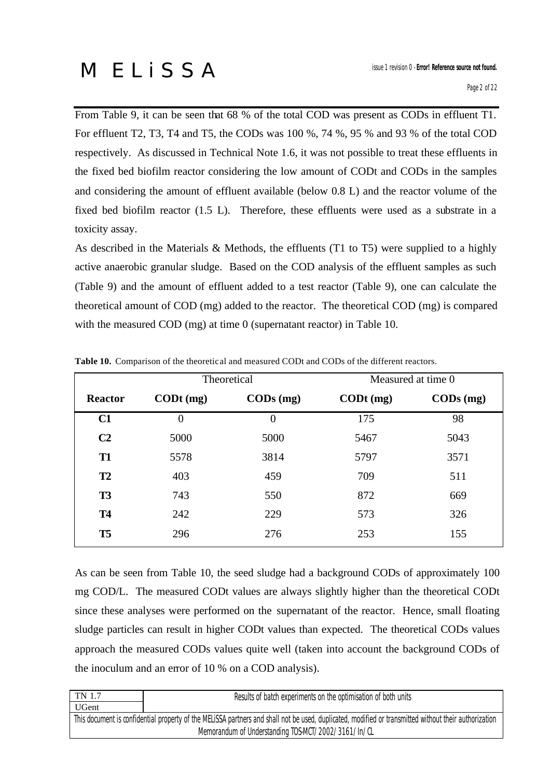From Table 9, it can be seen that 68 % of the total COD was present as CODs in effluent T1. For effluent T2, T3, T4 and T5, the CODs was 100 %, 74 %, 95 % and 93 % of the total COD respectively. As discussed in Technical Note 1.6, it was not possible to treat these effluents in the fixed bed biofilm reactor considering the low amount of CODt and CODs in the samples and considering the amount of effluent available (below 0.8 L) and the reactor volume of the fixed bed biofilm reactor (1.5 L). Therefore, these effluents were used as a substrate in a toxicity assay.

As described in the Materials & Methods, the effluents (T1 to T5) were supplied to a highly active anaerobic granular sludge. Based on the COD analysis of the effluent samples as such (Table 9) and the amount of effluent added to a test reactor (Table 9), one can calculate the theoretical amount of COD (mg) added to the reactor. The theoretical COD (mg) is compared with the measured COD (mg) at time 0 (supernatant reactor) in Table 10.

|                |                           | Theoretical          |                   | Measured at time 0   |
|----------------|---------------------------|----------------------|-------------------|----------------------|
| <b>Reactor</b> | $\text{CD}t \text{ (mg)}$ | $\mathbf{CODs}$ (mg) | $\text{CDt}$ (mg) | $\mathbf{CODs}$ (mg) |
| C1             | $\theta$                  | $\overline{0}$       | 175               | 98                   |
| C <sub>2</sub> | 5000                      | 5000                 | 5467              | 5043                 |
| <b>T1</b>      | 5578                      | 3814                 | 5797              | 3571                 |
| <b>T2</b>      | 403                       | 459                  | 709               | 511                  |
| <b>T3</b>      | 743                       | 550                  | 872               | 669                  |
| <b>T4</b>      | 242                       | 229                  | 573               | 326                  |
| T <sub>5</sub> | 296                       | 276                  | 253               | 155                  |

**Table 10.** Comparison of the theoretical and measured CODt and CODs of the different reactors.

As can be seen from Table 10, the seed sludge had a background CODs of approximately 100 mg COD/L. The measured CODt values are always slightly higher than the theoretical CODt since these analyses were performed on the supernatant of the reactor. Hence, small floating sludge particles can result in higher CODt values than expected. The theoretical CODs values approach the measured CODs values quite well (taken into account the background CODs of the inoculum and an error of 10 % on a COD analysis).

| TN 1.7                                              | Results of batch experiments on the optimisation of both units                                                                                        |  |  |  |  |
|-----------------------------------------------------|-------------------------------------------------------------------------------------------------------------------------------------------------------|--|--|--|--|
| <b>UGent</b>                                        |                                                                                                                                                       |  |  |  |  |
|                                                     | This document is confidential property of the MELISSA partners and shall not be used, duplicated, modified or transmitted without their authorization |  |  |  |  |
| Memorandum of Understanding TOS-MCT/2002/3161/In/CL |                                                                                                                                                       |  |  |  |  |
|                                                     |                                                                                                                                                       |  |  |  |  |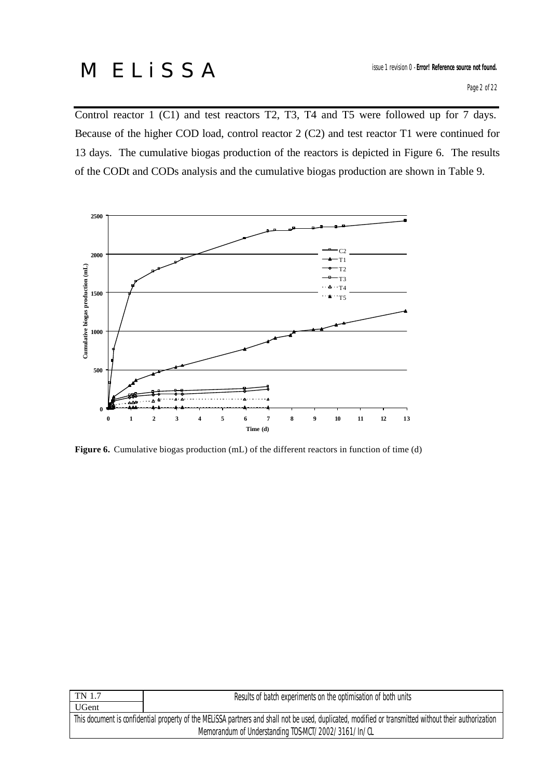Control reactor 1 (C1) and test reactors T2, T3, T4 and T5 were followed up for 7 days. Because of the higher COD load, control reactor 2 (C2) and test reactor T1 were continued for 13 days. The cumulative biogas production of the reactors is depicted in Figure 6. The results of the CODt and CODs analysis and the cumulative biogas production are shown in Table 9.



Figure 6. Cumulative biogas production (mL) of the different reactors in function of time (d)

| TN 1.7<br>Results of batch experiments on the optimisation of both units                                                                              |  |  |  |  |
|-------------------------------------------------------------------------------------------------------------------------------------------------------|--|--|--|--|
| UGent                                                                                                                                                 |  |  |  |  |
| This document is confidential property of the MELISSA partners and shall not be used, duplicated, modified or transmitted without their authorization |  |  |  |  |
| Memorandum of Understanding TOS-MCT/2002/3161/In/CL                                                                                                   |  |  |  |  |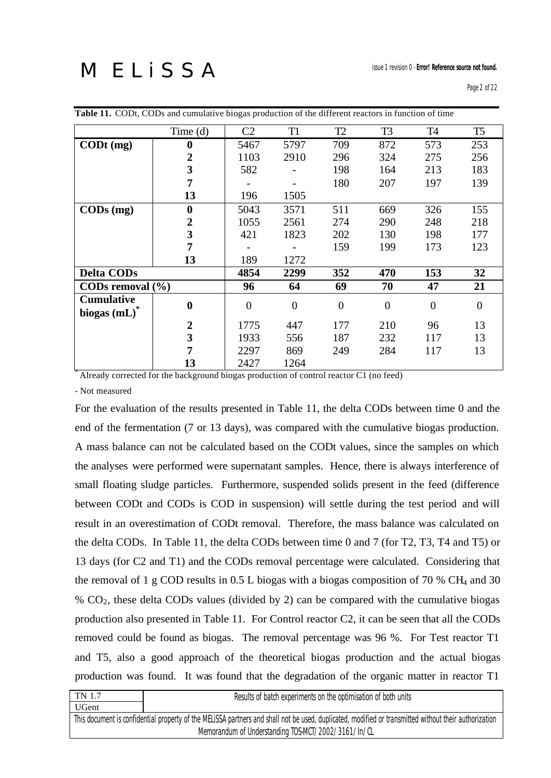| <b>Table II.</b> CODt, CODs and cumulative biogas production of the different reactors in function of time |                         |                |                |                |                |           |                |
|------------------------------------------------------------------------------------------------------------|-------------------------|----------------|----------------|----------------|----------------|-----------|----------------|
|                                                                                                            | Time (d)                | C <sub>2</sub> | T <sub>1</sub> | T <sub>2</sub> | T <sub>3</sub> | <b>T4</b> | T <sub>5</sub> |
| $\text{CD}t \text{ (mg)}$                                                                                  | 0                       | 5467           | 5797           | 709            | 872            | 573       | 253            |
|                                                                                                            | $\overline{2}$          | 1103           | 2910           | 296            | 324            | 275       | 256            |
|                                                                                                            | 3                       | 582            |                | 198            | 164            | 213       | 183            |
|                                                                                                            | 7                       |                |                | 180            | 207            | 197       | 139            |
|                                                                                                            | 13                      | 196            | 1505           |                |                |           |                |
| $\mathbf{CODs}$ (mg)                                                                                       | $\boldsymbol{0}$        | 5043           | 3571           | 511            | 669            | 326       | 155            |
|                                                                                                            | $\mathbf 2$             | 1055           | 2561           | 274            | 290            | 248       | 218            |
|                                                                                                            | 3                       | 421            | 1823           | 202            | 130            | 198       | 177            |
|                                                                                                            | 7                       |                |                | 159            | 199            | 173       | 123            |
|                                                                                                            | 13                      | 189            | 1272           |                |                |           |                |
| <b>Delta CODs</b>                                                                                          |                         | 4854           | 2299           | 352            | 470            | 153       | 32             |
| CODs removal $(\% )$                                                                                       |                         | 96             | 64             | 69             | 70             | 47        | 21             |
| <b>Cumulative</b><br>biogas $(mL)^*$                                                                       | $\bf{0}$                | $\overline{0}$ | $\overline{0}$ | $\theta$       | $\theta$       | $\theta$  | $\Omega$       |
|                                                                                                            | $\overline{2}$          | 1775           | 447            | 177            | 210            | 96        | 13             |
|                                                                                                            | $\overline{\mathbf{3}}$ | 1933           | 556            | 187            | 232            | 117       | 13             |
|                                                                                                            | 7                       | 2297           | 869            | 249            | 284            | 117       | 13             |
|                                                                                                            | 13                      | 2427           | 1264           |                |                |           |                |

**Table 11.** CODt, CODs and cumulative biogas production of the different reactors in function of time

\* Already corrected for the background biogas production of control reactor C1 (no feed)

- Not measured

For the evaluation of the results presented in Table 11, the delta CODs between time 0 and the end of the fermentation (7 or 13 days), was compared with the cumulative biogas production. A mass balance can not be calculated based on the CODt values, since the samples on which the analyses were performed were supernatant samples. Hence, there is always interference of small floating sludge particles. Furthermore, suspended solids present in the feed (difference between CODt and CODs is COD in suspension) will settle during the test period and will result in an overestimation of CODt removal. Therefore, the mass balance was calculated on the delta CODs. In Table 11, the delta CODs between time 0 and 7 (for T2, T3, T4 and T5) or 13 days (for C2 and T1) and the CODs removal percentage were calculated. Considering that the removal of 1 g COD results in 0.5 L biogas with a biogas composition of 70 % CH<sub>4</sub> and 30 % CO2, these delta CODs values (divided by 2) can be compared with the cumulative biogas production also presented in Table 11. For Control reactor C2, it can be seen that all the CODs removed could be found as biogas. The removal percentage was 96 %. For Test reactor T1 and T5, also a good approach of the theoretical biogas production and the actual biogas production was found. It was found that the degradation of the organic matter in reactor T1

|                                                                                                                                                       | TN 1.7<br>Results of batch experiments on the optimisation of both units |  |  |  |  |  |
|-------------------------------------------------------------------------------------------------------------------------------------------------------|--------------------------------------------------------------------------|--|--|--|--|--|
| <b>UGent</b>                                                                                                                                          |                                                                          |  |  |  |  |  |
| This document is confidential property of the MELISSA partners and shall not be used, duplicated, modified or transmitted without their authorization |                                                                          |  |  |  |  |  |
| Memorandum of Understanding TOS-MCT/2002/3161/In/CL                                                                                                   |                                                                          |  |  |  |  |  |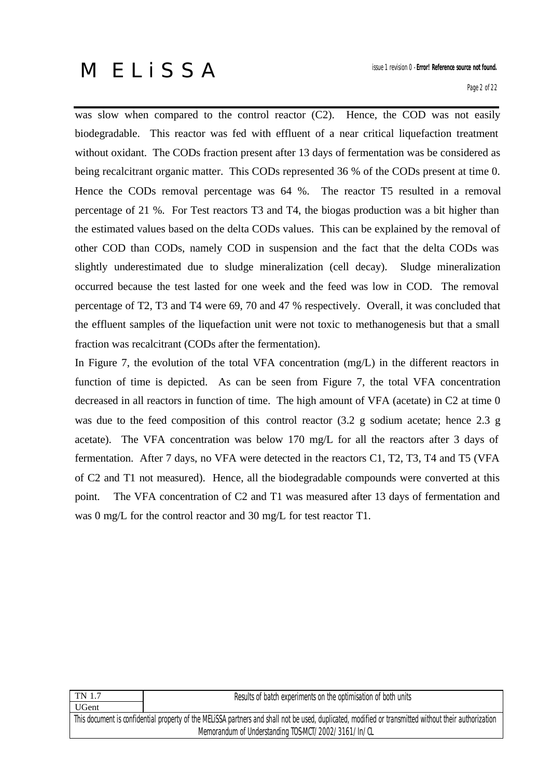was slow when compared to the control reactor (C2). Hence, the COD was not easily biodegradable. This reactor was fed with effluent of a near critical liquefaction treatment without oxidant. The CODs fraction present after 13 days of fermentation was be considered as being recalcitrant organic matter. This CODs represented 36 % of the CODs present at time 0. Hence the CODs removal percentage was 64 %. The reactor T5 resulted in a removal percentage of 21 %. For Test reactors T3 and T4, the biogas production was a bit higher than the estimated values based on the delta CODs values. This can be explained by the removal of other COD than CODs, namely COD in suspension and the fact that the delta CODs was slightly underestimated due to sludge mineralization (cell decay). Sludge mineralization occurred because the test lasted for one week and the feed was low in COD. The removal percentage of T2, T3 and T4 were 69, 70 and 47 % respectively. Overall, it was concluded that the effluent samples of the liquefaction unit were not toxic to methanogenesis but that a small fraction was recalcitrant (CODs after the fermentation).

In Figure 7, the evolution of the total VFA concentration (mg/L) in the different reactors in function of time is depicted. As can be seen from Figure 7, the total VFA concentration decreased in all reactors in function of time. The high amount of VFA (acetate) in C2 at time 0 was due to the feed composition of this control reactor (3.2 g sodium acetate; hence 2.3 g acetate). The VFA concentration was below 170 mg/L for all the reactors after 3 days of fermentation. After 7 days, no VFA were detected in the reactors C1, T2, T3, T4 and T5 (VFA of C2 and T1 not measured). Hence, all the biodegradable compounds were converted at this point. The VFA concentration of C2 and T1 was measured after 13 days of fermentation and was 0 mg/L for the control reactor and 30 mg/L for test reactor T1.

| TN 1.7                                                                                                                                                | Results of batch experiments on the optimisation of both units |  |  |  |
|-------------------------------------------------------------------------------------------------------------------------------------------------------|----------------------------------------------------------------|--|--|--|
| UGent                                                                                                                                                 |                                                                |  |  |  |
| This document is confidential property of the MELiSSA partners and shall not be used, duplicated, modified or transmitted without their authorization |                                                                |  |  |  |
| Memorandum of Understanding TOS-MCT/2002/3161/In/CL                                                                                                   |                                                                |  |  |  |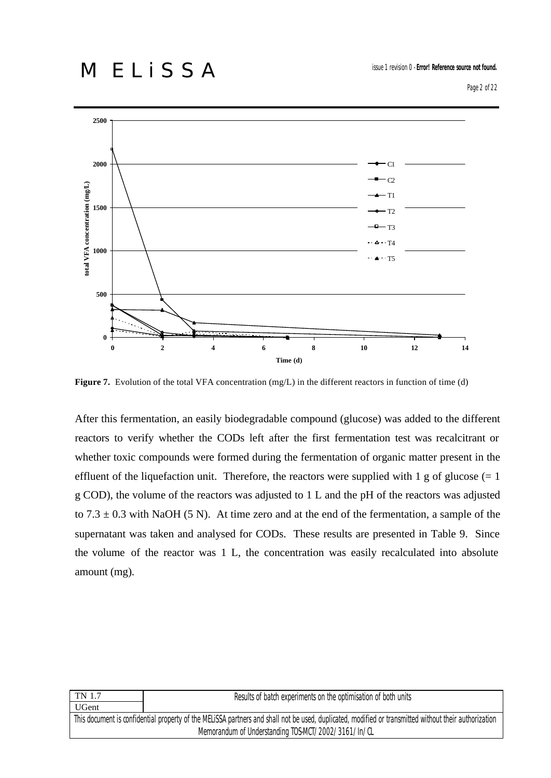

**Figure 7.** Evolution of the total VFA concentration (mg/L) in the different reactors in function of time (d)

After this fermentation, an easily biodegradable compound (glucose) was added to the different reactors to verify whether the CODs left after the first fermentation test was recalcitrant or whether toxic compounds were formed during the fermentation of organic matter present in the effluent of the liquefaction unit. Therefore, the reactors were supplied with 1 g of glucose  $(= 1$ g COD), the volume of the reactors was adjusted to 1 L and the pH of the reactors was adjusted to  $7.3 \pm 0.3$  with NaOH (5 N). At time zero and at the end of the fermentation, a sample of the supernatant was taken and analysed for CODs. These results are presented in Table 9. Since the volume of the reactor was 1 L, the concentration was easily recalculated into absolute amount (mg).

| UGent                                                                                                                                                 |  |  |  |  |
|-------------------------------------------------------------------------------------------------------------------------------------------------------|--|--|--|--|
|                                                                                                                                                       |  |  |  |  |
| This document is confidential property of the MELiSSA partners and shall not be used, duplicated, modified or transmitted without their authorization |  |  |  |  |
| Memorandum of Understanding TOS-MCT/2002/3161/In/CL                                                                                                   |  |  |  |  |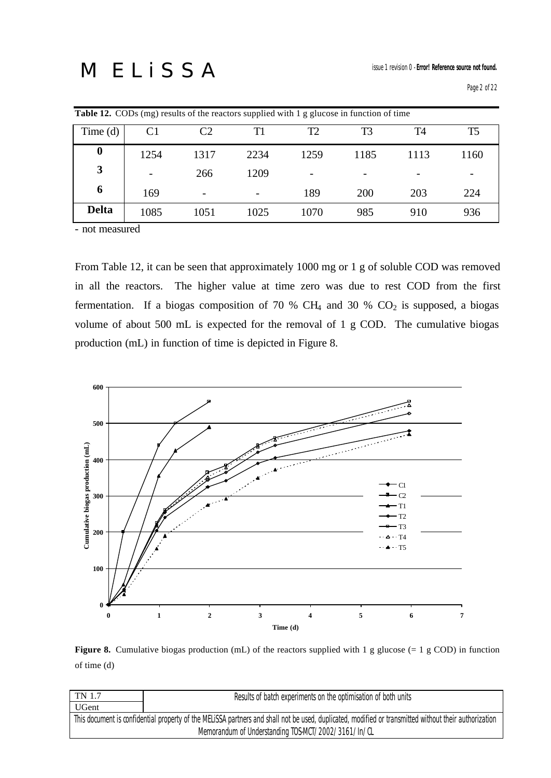|              |      |                          | <b>Table 12.</b> CODs (mg) results of the reactors supplied with 1 g glucose in function of time |      |                |                |                |
|--------------|------|--------------------------|--------------------------------------------------------------------------------------------------|------|----------------|----------------|----------------|
| Time $(d)$   |      |                          | Τ1                                                                                               | T2   | T <sub>3</sub> | T <sub>4</sub> | T <sub>5</sub> |
| $\bf{0}$     | 1254 | 1317                     | 2234                                                                                             | 1259 | 1185           | 1113           | 1160           |
| 3            |      | 266                      | 1209                                                                                             |      |                | -              |                |
| 6            | 169  | $\overline{\phantom{0}}$ |                                                                                                  | 189  | 200            | 203            | 224            |
| <b>Delta</b> | 1085 | 1051                     | 1025                                                                                             | 1070 | 985            | 910            | 936            |

- not measured

From Table 12, it can be seen that approximately 1000 mg or 1 g of soluble COD was removed in all the reactors. The higher value at time zero was due to rest COD from the first fermentation. If a biogas composition of 70 % CH<sub>4</sub> and 30 % CO<sub>2</sub> is supposed, a biogas volume of about 500 mL is expected for the removal of 1 g COD. The cumulative biogas production (mL) in function of time is depicted in Figure 8.



**Figure 8.** Cumulative biogas production (mL) of the reactors supplied with 1 g glucose (= 1 g COD) in function of time (d)

| TN 1.7                                                                                                                                                | Results of batch experiments on the optimisation of both units |  |  |  |  |
|-------------------------------------------------------------------------------------------------------------------------------------------------------|----------------------------------------------------------------|--|--|--|--|
| UGent                                                                                                                                                 |                                                                |  |  |  |  |
| This document is confidential property of the MELISSA partners and shall not be used, duplicated, modified or transmitted without their authorization |                                                                |  |  |  |  |
| Memorandum of Understanding TOS-MCT/2002/3161/In/CL                                                                                                   |                                                                |  |  |  |  |